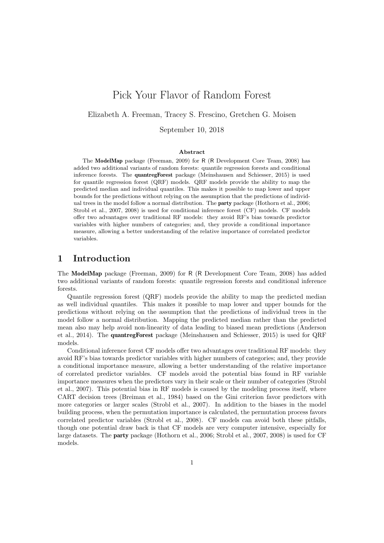# Pick Your Flavor of Random Forest

## Elizabeth A. Freeman, Tracey S. Frescino, Gretchen G. Moisen

September 10, 2018

#### Abstract

The ModelMap package (Freeman, 2009) for R (R Development Core Team, 2008) has added two additional variants of random forests: quantile regression forests and conditional inference forests. The quantregForest package (Meinshausen and Schiesser, 2015) is used for quantile regression forest (QRF) models. QRF models provide the ability to map the predicted median and individual quantiles. This makes it possible to map lower and upper bounds for the predictions without relying on the assumption that the predictions of individual trees in the model follow a normal distribution. The party package (Hothorn et al., 2006; Strobl et al., 2007, 2008) is used for conditional inference forest (CF) models. CF models offer two advantages over traditional RF models: they avoid RF's bias towards predictor variables with higher numbers of categories; and, they provide a conditional importance measure, allowing a better understanding of the relative importance of correlated predictor variables.

# 1 Introduction

The ModelMap package (Freeman, 2009) for R (R Development Core Team, 2008) has added two additional variants of random forests: quantile regression forests and conditional inference forests.

Quantile regression forest (QRF) models provide the ability to map the predicted median as well individual quantiles. This makes it possible to map lower and upper bounds for the predictions without relying on the assumption that the predictions of individual trees in the model follow a normal distribution. Mapping the predicted median rather than the predicted mean also may help avoid non-linearity of data leading to biased mean predictions (Anderson et al., 2014). The quantregForest package (Meinshausen and Schiesser, 2015) is used for QRF models.

Conditional inference forest CF models offer two advantages over traditional RF models: they avoid RF's bias towards predictor variables with higher numbers of categories; and, they provide a conditional importance measure, allowing a better understanding of the relative importance of correlated predictor variables. CF models avoid the potential bias found in RF variable importance measures when the predictors vary in their scale or their number of categories (Strobl et al., 2007). This potential bias in RF models is caused by the modeling process itself, where CART decision trees (Breiman et al., 1984) based on the Gini criterion favor predictors with more categories or larger scales (Strobl et al., 2007). In addition to the biases in the model building process, when the permutation importance is calculated, the permutation process favors correlated predictor variables (Strobl et al., 2008). CF models can avoid both these pitfalls, though one potential draw back is that CF models are very computer intensive, especially for large datasets. The party package (Hothorn et al., 2006; Strobl et al., 2007, 2008) is used for CF models.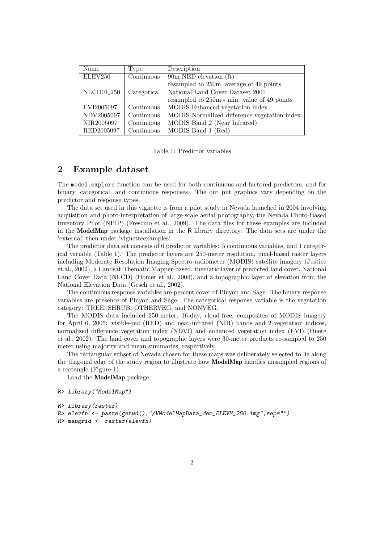| Name                   | Type                           | Description                                  |
|------------------------|--------------------------------|----------------------------------------------|
| ELEV250                | $\overline{\text{Continuous}}$ | 90m NED elevation (ft)                       |
|                        |                                | resampled to 250m, average of 49 points      |
| NLCD01 <sub>-250</sub> | Categorical                    | National Land Cover Dataset 2001             |
|                        |                                | resampled to 250m - min. value of 49 points  |
| EVI2005097             | Continuous                     | MODIS Enhanced vegetation index              |
| NDV2005097             | Continuous                     | MODIS Normalized difference vegetation index |
| NIR2005097             | Continuous                     | MODIS Band 2 (Near Infrared)                 |
| RED2005097             | Continuous                     | MODIS Band 1 (Red)                           |

Table 1: Predictor variables

# 2 Example dataset

The model.explore function can be used for both continuous and factored predictors, and for binary, categorical, and continuous responses. The out put graphics vary depending on the predictor and response types.

The data set used in this vignette is from a pilot study in Nevada launched in 2004 involving acquisition and photo-interpretation of large-scale aerial photography, the Nevada Photo-Based Inventory Pilot (NPIP) (Frescino et al., 2009). The data files for these examples are included in the ModelMap package installation in the R library directory. The data sets are under the 'external' then under 'vignetteexamples'.

The predictor data set consists of 6 predictor variables: 5 continuous variables, and 1 categorical variable (Table 1). The predictor layers are 250-meter resolution, pixel-based raster layers including Moderate Resolution Imaging Spectro-radiometer (MODIS) satellite imagery (Justice et al., 2002), a Landsat Thematic Mapper-based, thematic layer of predicted land cover, National Land Cover Data (NLCD) (Homer et al., 2004), and a topographic layer of elevation from the National Elevation Data (Gesch et al., 2002).

The continuous response variables are percent cover of Pinyon and Sage. The binary response variables are presence of Pinyon and Sage. The categorical response variable is the vegetation category: TREE, SHRUB, OTHERVEG, and NONVEG.

The MODIS data included 250-meter, 16-day, cloud-free, composites of MODIS imagery for April 6, 2005: visible-red (RED) and near-infrared (NIR) bands and 2 vegetation indices, normalized difference vegetation index (NDVI) and enhanced vegetation index (EVI) (Huete et al., 2002). The land cover and topographic layers were 30-meter products re-sampled to 250 meter using majority and mean summaries, respectively.

The rectangular subset of Nevada chosen for these maps was deliberately selected to lie along the diagonal edge of the study region to illustrate how ModelMap handles unsampled regions of a rectangle (Figure 1).

Load the ModelMap package.

```
R> library("ModelMap")
```

```
R> library(raster)
```

```
R> elevfn <- paste(getwd(),"/VModelMapData_dem_ELEVM_250.img",sep="")
R> mapgrid <- raster(elevfn)
```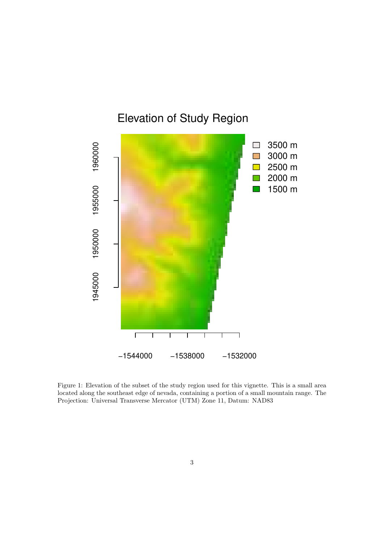

Figure 1: Elevation of the subset of the study region used for this vignette. This is a small area located along the southeast edge of nevada, containing a portion of a small mountain range. The Projection: Universal Transverse Mercator (UTM) Zone 11, Datum: NAD83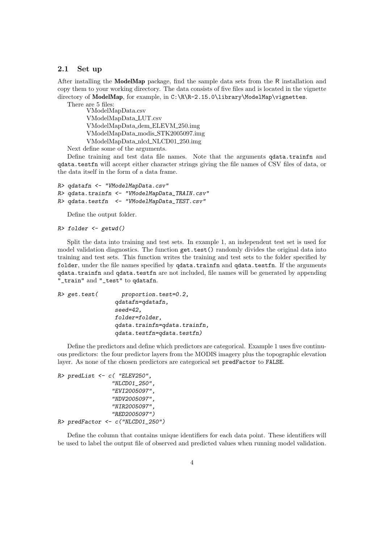#### 2.1 Set up

After installing the ModelMap package, find the sample data sets from the R installation and copy them to your working directory. The data consists of five files and is located in the vignette directory of ModelMap, for example, in C:\R\R-2.15.0\library\ModelMap\vignettes. There are 5 files:

VModelMapData.csv VModelMapData LUT.csv VModelMapData dem ELEVM 250.img VModelMapData modis STK2005097.img VModelMapData nlcd NLCD01 250.img

Next define some of the arguments.

Define training and test data file names. Note that the arguments qdata.trainfn and qdata.testfn will accept either character strings giving the file names of CSV files of data, or the data itself in the form of a data frame.

```
R> qdatafn <- "VModelMapData.csv"
R> qdata.trainfn <- "VModelMapData_TRAIN.csv"
R> qdata.testfn <- "VModelMapData_TEST.csv"
```
Define the output folder.

```
R> folder <- getwd()
```
Split the data into training and test sets. In example 1, an independent test set is used for model validation diagnostics. The function get.test() randomly divides the original data into training and test sets. This function writes the training and test sets to the folder specified by folder, under the file names specified by qdata.trainfn and qdata.testfn. If the arguments qdata.trainfn and qdata.testfn are not included, file names will be generated by appending "\_train" and "\_test" to qdatafn.

| proportion.test=0.2,         |
|------------------------------|
| qdatafn=qdatafn,             |
| $seed=42$ .                  |
| folder=folder,               |
| qdata.trainfn=qdata.trainfn, |
| qdata.testfn=qdata.testfn)   |
|                              |

Define the predictors and define which predictors are categorical. Example 1 uses five continuous predictors: the four predictor layers from the MODIS imagery plus the topographic elevation layer. As none of the chosen predictors are categorical set predFactor to FALSE.

```
R> predList <- c( "ELEV250",
                 "NLCD01_250",
                 "EVI2005097",
                 "NDV2005097",
                 "NIR2005097",
                 "RED2005097")
R> predFactor <- c("NLCD01_250")
```
Define the column that contains unique identifiers for each data point. These identifiers will be used to label the output file of observed and predicted values when running model validation.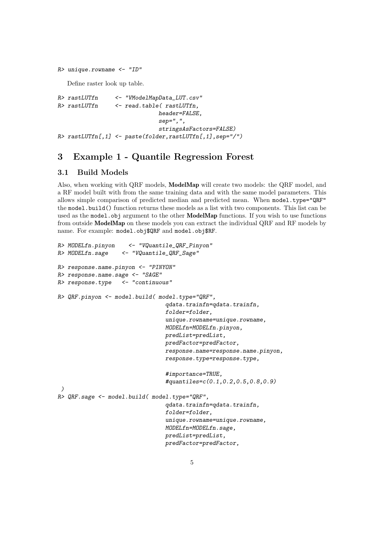```
R> unique.rowname <- "ID"
```
Define raster look up table.

```
R> rastLUTfn <- "VModelMapData_LUT.csv"
R> rastLUTfn <- read.table( rastLUTfn,
                             header=FALSE,
                             sep=",",
                             stringsAsFactors=FALSE)
R> rastLUTfn[,1] <- paste(folder,rastLUTfn[,1],sep="/")
```
# 3 Example 1 - Quantile Regression Forest

# 3.1 Build Models

Also, when working with QRF models, ModelMap will create two models: the QRF model, and a RF model built with from the same training data and with the same model parameters. This allows simple comparison of predicted median and predicted mean. When model.type="QRF" the model.build() function returns these models as a list with two components. This list can be used as the model.obj argument to the other **ModelMap** functions. If you wish to use functions from outside ModelMap on these models you can extract the individual QRF and RF models by name. For example: model.obj\$QRF and model.obj\$RF.

```
R> MODELfn.pinyon <- "VQuantile_QRF_Pinyon"
R> MODELfn.sage <- "VQuantile_QRF_Sage"
R> response.name.pinyon <- "PINYON"
R> response.name.sage <- "SAGE"
R> response.type <- "continuous"
R> QRF.pinyon <- model.build( model.type="QRF",
                                qdata.trainfn=qdata.trainfn,
                                folder=folder,
                                unique.rowname=unique.rowname,
                                MODELfn=MODELfn.pinyon,
                                predList=predList,
                                predFactor=predFactor,
                                response.name=response.name.pinyon,
                                response.type=response.type,
                                #importance=TRUE,
                                #quantiles=c(0.1,0.2,0.5,0.8,0.9)
 )
R> QRF.sage <- model.build( model.type="QRF",
                                qdata.trainfn=qdata.trainfn,
                                folder=folder,
                                unique.rowname=unique.rowname,
                                MODELfn=MODELfn.sage,
                                predList=predList,
                                predFactor=predFactor,
```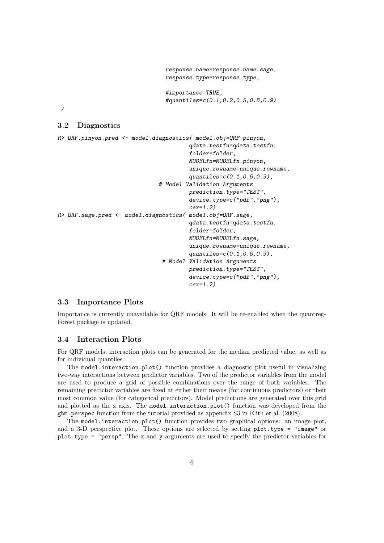```
response.name=response.name.sage,
response.type=response.type,
#importance=TRUE,
```

```
#quantiles=c(0.1,0.2,0.5,0.8,0.9)
```
)

# 3.2 Diagnostics

```
R> QRF.pinyon.pred <- model.diagnostics( model.obj=QRF.pinyon,
                                        qdata.testfn=qdata.testfn,
                                        folder=folder,
                                        MODELfn=MODELfn.pinyon,
                                        unique.rowname=unique.rowname,
                                        quantiles=c(0.1,0.5,0.9),
                               # Model Validation Arguments
                                        prediction.type="TEST",
                                        device.type=c("pdf","png"),
                                        cex=1.2)
R> QRF.sage.pred <- model.diagnostics( model.obj=QRF.sage,
                                        qdata.testfn=qdata.testfn,
                                        folder=folder,
                                        MODELfn=MODELfn.sage,
                                        unique.rowname=unique.rowname,
                                        quantiles=c(0.1,0.5,0.9),
                                # Model Validation Arguments
                                        prediction.type="TEST",
                                        device.type=c("pdf","png"),
                                        cex=1.2)
```
## 3.3 Importance Plots

Importance is currently unavailable for QRF models. It will be re-enabled when the quantreg-Forest package is updated.

## 3.4 Interaction Plots

For QRF models, interaction plots can be generated for the median predicted value, as well as for individual quantiles.

The model.interaction.plot() function provides a diagnostic plot useful in visualizing two-way interactions between predictor variables. Two of the predictor variables from the model are used to produce a grid of possible combinations over the range of both variables. The remaining predictor variables are fixed at either their means (for continuous predictors) or their most common value (for categorical predictors). Model predictions are generated over this grid and plotted as the z axis. The model.interaction.plot() function was developed from the gbm.perspec function from the tutorial provided as appendix S3 in Elith et al. (2008).

The model.interaction.plot() function provides two graphical options: an image plot, and a 3-D perspective plot. These options are selected by setting plot.type = "image" or plot.type = "persp". The x and y arguments are used to specify the predictor variables for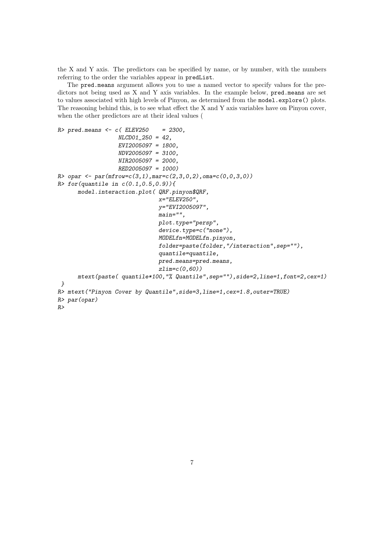the X and Y axis. The predictors can be specified by name, or by number, with the numbers referring to the order the variables appear in predList.

The pred.means argument allows you to use a named vector to specify values for the predictors not being used as X and Y axis variables. In the example below, pred.means are set to values associated with high levels of Pinyon, as determined from the model.explore() plots. The reasoning behind this, is to see what effect the X and Y axis variables have on Pinyon cover, when the other predictors are at their ideal values (

```
R> pred.means <- c( ELEV250 = 2300,
                  NLCD01_250 = 42,
                  EVI2005097 = 1800,
                  NDV2005097 = 3100,
                  NIR2005097 = 2000,
                  RED2005097 = 1000)
R> opar <- par(mfrow=c(3,1), mar=c(2,3,0,2), oma=c(0,0,3,0))
R> for (quantile in c(0.1, 0.5, 0.9))model.interaction.plot( QRF.pinyon$QRF,
                              x="ELEV250",
                              y="EVI2005097",
                              main=",
                              plot.type="persp",
                              device.type=c("none"),
                              MODELfn=MODELfn.pinyon,
                              folder=paste(folder,"/interaction",sep=""),
                              quantile=quantile,
                              pred.means=pred.means,
                              zlim=c(0,60))
      mtext(paste( quantile*100,"% Quantile",sep=""),side=2,line=1,font=2,cex=1)
}
R> mtext("Pinyon Cover by Quantile",side=3,line=1,cex=1.8,outer=TRUE)
R> par(opar)
R>
```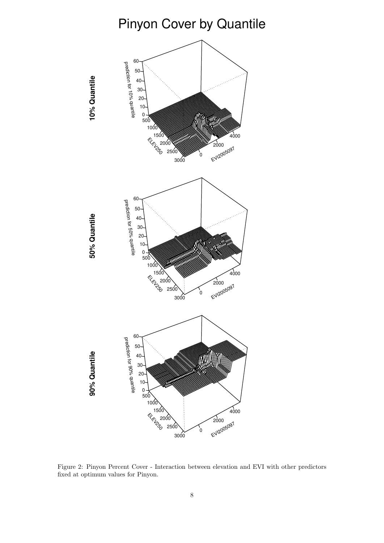# Pinyon Cover by Quantile



Figure 2: Pinyon Percent Cover - Interaction between elevation and EVI with other predictors fixed at optimum values for Pinyon.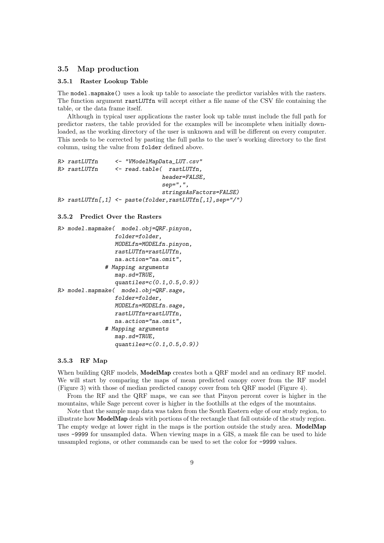### 3.5 Map production

#### 3.5.1 Raster Lookup Table

The model.mapmake() uses a look up table to associate the predictor variables with the rasters. The function argument rastLUTfn will accept either a file name of the CSV file containing the table, or the data frame itself.

Although in typical user applications the raster look up table must include the full path for predictor rasters, the table provided for the examples will be incomplete when initially downloaded, as the working directory of the user is unknown and will be different on every computer. This needs to be corrected by pasting the full paths to the user's working directory to the first column, using the value from folder defined above.

```
R> rastLUTfn <- "VModelMapData_LUT.csv"
R> rastLUTfn <- read.table( rastLUTfn,
                              header=FALSE,
                              sep=",",
                              stringsAsFactors=FALSE)
R> rastLUTfn[,1] <- paste(folder,rastLUTfn[,1],sep="/")
```
#### 3.5.2 Predict Over the Rasters

```
R> model.mapmake( model.obj=QRF.pinyon,
                 folder=folder,
                 MODELfn=MODELfn.pinyon,
                 rastLUTfn=rastLUTfn,
                 na.action="na.omit",
              # Mapping arguments
                 map.sd=TRUE,
                 quantiles = c(0.1, 0.5, 0.9)R> model.mapmake( model.obj=QRF.sage,
                 folder=folder,
                 MODELfn=MODELfn.sage,
                 rastLUTfn=rastLUTfn,
                 na.action="na.omit",
              # Mapping arguments
                 map.sd=TRUE,
                 quantiles=c(0.1,0.5,0.9))
```
#### 3.5.3 RF Map

When building QRF models, **ModelMap** creates both a QRF model and an ordinary RF model. We will start by comparing the maps of mean predicted canopy cover from the RF model (Figure 3) with those of median predicted canopy cover from teh QRF model (Figure 4).

From the RF and the QRF maps, we can see that Pinyon percent cover is higher in the mountains, while Sage percent cover is higher in the foothills at the edges of the mountains.

Note that the sample map data was taken from the South Eastern edge of our study region, to illustrate how ModelMap deals with portions of the rectangle that fall outside of the study region. The empty wedge at lower right in the maps is the portion outside the study area. ModelMap uses -9999 for unsampled data. When viewing maps in a GIS, a mask file can be used to hide unsampled regions, or other commands can be used to set the color for -9999 values.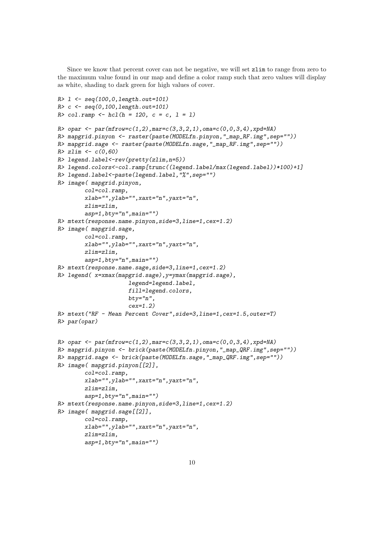Since we know that percent cover can not be negative, we will set zlim to range from zero to the maximum value found in our map and define a color ramp such that zero values will display as white, shading to dark green for high values of cover.

```
R > 1 <- seq(100,0,length.out=101)
R > c <- seq(0, 100, length.out = 101)R > col.random \leftarrow hcl(h = 120, c = c, l = 1)R> opar \leq par(mfrow=c(1,2),mar=c(3,3,2,1),oma=c(0,0,3,4),xpd=NA)
R> mapgrid.pinyon <- raster(paste(MODELfn.pinyon,"_map_RF.img",sep=""))
R> mapgrid.sage <- raster(paste(MODELfn.sage,"_map_RF.img",sep=""))
R > zlim < -c(0, 60)R> legend.label<-rev(pretty(zlim,n=5))
R> legend.colors<-col.ramp[trunc((legend.label/max(legend.label))*100)+1]
R> legend.label<-paste(legend.label,"%",sep="")
R> image( mapgrid.pinyon,
        col=col.ramp,
        xlab="", ylab="", xaxt="n", yaxt="n", yaxt="n", yaxt"zlim=zlim,
        asp=1, bty="n", main="")R> mtext(response.name.pinyon,side=3,line=1,cex=1.2)
R> image( mapgrid.sage,
        col=col.ramp,
        xlab="",ylab="",xaxt="n",yaxt="n",
        zlim=zlim,
        asp=1, bty="n", main="")R> mtext(response.name.sage,side=3,line=1,cex=1.2)
R> legend( x=xmax(mapgrid.sage),y=ymax(mapgrid.sage),
                      legend=legend.label,
                      fill=legend.colors,
                      bty="n",cex=1.2)
R> mtext("RF - Mean Percent Cover",side=3,line=1,cex=1.5,outer=T)
R> par(opar)
R opar \leftarrow par(mfrow=c(1,2), mar=c(3,3,2,1), oma=c(0,0,3,4), xpd=NA)
R> mapgrid.pinyon <- brick(paste(MODELfn.pinyon,"_map_QRF.img",sep=""))
R> mapgrid.sage <- brick(paste(MODELfn.sage,"_map_QRF.img",sep=""))
R> image( mapgrid.pinyon[[2]],
        col=col.ramp,
        xlab="",ylab="",xaxt="n",yaxt="n",
        zlim=zlim,
        asp=1, bty="n", main="")R> mtext(response.name.pinyon,side=3,line=1,cex=1.2)
R> image( mapgrid.sage[[2]],
        col=col.ramp,
        xlab="",ylab="",xaxt="n",yaxt="n",
        zlim=zlim,
        asp=1, bty="n", main="")
```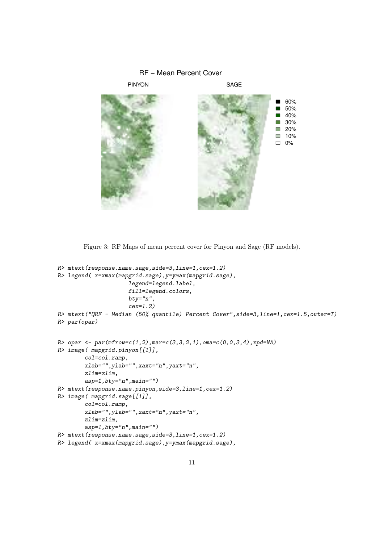

Figure 3: RF Maps of mean percent cover for Pinyon and Sage (RF models).

```
R> mtext(response.name.sage,side=3,line=1,cex=1.2)
R> legend( x=xmax(mapgrid.sage),y=ymax(mapgrid.sage),
                     legend=legend.label,
                     fill=legend.colors,
                     bty="n",cex=1.2)
R> mtext("QRF - Median (50% quantile) Percent Cover",side=3,line=1,cex=1.5,outer=T)
R> par(opar)
R opar \leq par(mfrow=c(1,2), mar=c(3,3,2,1), oma=c(0,0,3,4), xpd=NA)
R> image( mapgrid.pinyon[[1]],
        col=col.ramp,
        xlab="",ylab="",xaxt="n",yaxt="n",
        zlim=zlim,
        asp=1, bty="n", main="")R> mtext(response.name.pinyon,side=3,line=1,cex=1.2)
R> image( mapgrid.sage[[1]],
        col=col.ramp,
        xlab="",ylab="",xaxt="n",yaxt="n",
        zlim=zlim,
        asp=1, bty="n", main="")R> mtext(response.name.sage,side=3,line=1,cex=1.2)
R> legend( x=xmax(mapgrid.sage),y=ymax(mapgrid.sage),
```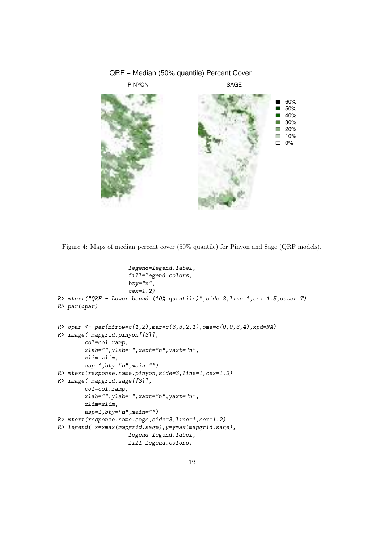

Figure 4: Maps of median percent cover (50% quantile) for Pinyon and Sage (QRF models).

```
legend=legend.label,
                     fill=legend.colors,
                     bty="n",cex=1.2)
R> mtext("QRF - Lower bound (10% quantile)",side=3,line=1,cex=1.5,outer=T)
R> par(opar)
R opar \leq par(mfrow=c(1,2), mar=c(3,3,2,1), oma=c(0,0,3,4), xpd=NA)
R> image( mapgrid.pinyon[[3]],
        col=col.ramp,
        xlab="",ylab="",xaxt="n",yaxt="n",
        zlim=zlim,
        asp=1, bty="n", main="")R> mtext(response.name.pinyon,side=3,line=1,cex=1.2)
R> image( mapgrid.sage[[3]],
        col=col.ramp,
        xlab="",ylab="",xaxt="n",yaxt="n",
        zlim=zlim,
        asp=1, bty="n", main="")R> mtext(response.name.sage,side=3,line=1,cex=1.2)
R> legend( x=xmax(mapgrid.sage),y=ymax(mapgrid.sage),
                     legend=legend.label,
                     fill=legend.colors,
```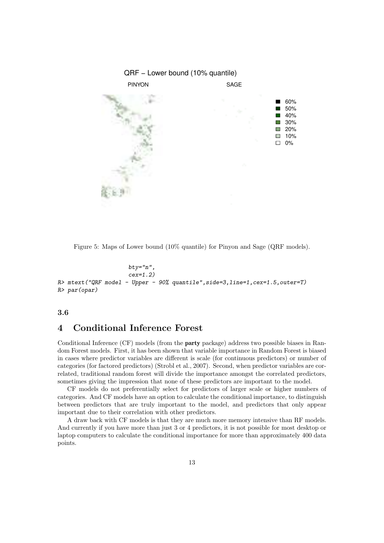

Figure 5: Maps of Lower bound (10% quantile) for Pinyon and Sage (QRF models).

```
bty="n",
                        cex=1.2)
R gt mtext{ text}('QRF model - Upper - 90% quantile', side=3, line=1, cex=1.5, outer=T)R> par(opar)
```
## 3.6

# 4 Conditional Inference Forest

Conditional Inference (CF) models (from the party package) address two possible biases in Random Forest models. First, it has been shown that variable importance in Random Forest is biased in cases where predictor variables are different is scale (for continuous predictors) or number of categories (for factored predictors) (Strobl et al., 2007). Second, when predictor variables are correlated, traditional random forest will divide the importance amongst the correlated predictors, sometimes giving the impression that none of these predictors are important to the model.

CF models do not preferentially select for predictors of larger scale or higher numbers of categories. And CF models have an option to calculate the conditional importance, to distinguish between predictors that are truly important to the model, and predictors that only appear important due to their correlation with other predictors.

A draw back with CF models is that they are much more memory intensive than RF models. And currently if you have more than just 3 or 4 predictors, it is not possible for most desktop or laptop computers to calculate the conditional importance for more than approximately 400 data points.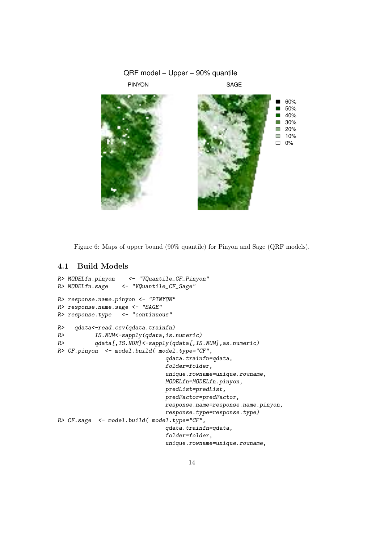

Figure 6: Maps of upper bound (90% quantile) for Pinyon and Sage (QRF models).

# 4.1 Build Models

```
R> MODELfn.pinyon <- "VQuantile_CF_Pinyon"
R> MODELfn.sage <- "VQuantile_CF_Sage"
R> response.name.pinyon <- "PINYON"
R> response.name.sage <- "SAGE"
R> response.type <- "continuous"
R> qdata<-read.csv(qdata.trainfn)
R> IS.NUM<-sapply(qdata,is.numeric)
R> qdata[,IS.NUM]<-sapply(qdata[,IS.NUM],as.numeric)
R> CF.pinyon <- model.build( model.type="CF",
                               qdata.trainfn=qdata,
                               folder=folder,
                               unique.rowname=unique.rowname,
                               MODELfn=MODELfn.pinyon,
                               predList=predList,
                               predFactor=predFactor,
                               response.name=response.name.pinyon,
                               response.type=response.type)
R> CF.sage <- model.build( model.type="CF",
                               qdata.trainfn=qdata,
                               folder=folder,
                               unique.rowname=unique.rowname,
```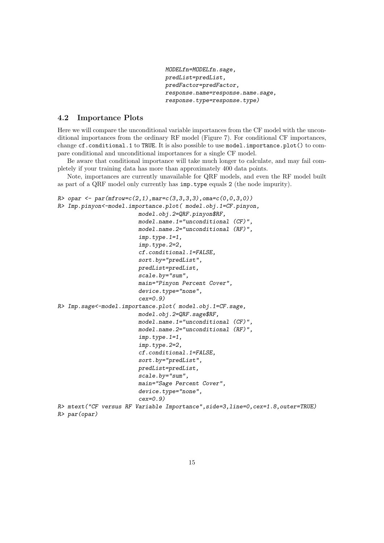```
MODELfn=MODELfn.sage,
predList=predList,
predFactor=predFactor,
response.name=response.name.sage,
response.type=response.type)
```
# 4.2 Importance Plots

Here we will compare the unconditional variable importances from the CF model with the unconditional importances from the ordinary RF model (Figure 7). For conditional CF importances, change cf.conditional.1 to TRUE. It is also possible to use model.importance.plot() to compare conditional and unconditional importances for a single CF model.

Be aware that conditional importance will take much longer to calculate, and may fail completely if your training data has more than approximately 400 data points.

Note, importances are currently unavailable for QRF models, and even the RF model built as part of a QRF model only currently has imp.type equals 2 (the node impurity).

```
R> opar \leq par(mfrow=c(2,1), mar=c(3,3,3,3), oma=c(0,0,3,0))
R> Imp.pinyon<-model.importance.plot( model.obj.1=CF.pinyon,
                        model.obj.2=QRF.pinyon$RF,
                        model.name.1="unconditional (CF)",
                        model.name.2="unconditional (RF)",
                         imp.type.1=1,
                         imp.type.2=2,
                        cf.conditional.1=FALSE,
                         sort.by="predList",
                        predList=predList,
                         scale.by="sum",
                        main="Pinyon Percent Cover",
                         device.type="none",
                         cex=0.9)
R> Imp.sage<-model.importance.plot( model.obj.1=CF.sage,
                        model.obj.2=QRF.sage$RF,
                         model.name.1="unconditional (CF)",
                        model.name.2="unconditional (RF)",
                         imp.type.1=1,
                         imp.type.2=2,
                         cf.conditional.1=FALSE,
                        sort.by="predList",
                        predList=predList,
                         scale.by="sum",
                        main="Sage Percent Cover",
                         device.type="none",
                         cex=0.9)
R> mtext("CF versus RF Variable Importance",side=3,line=0,cex=1.8,outer=TRUE)
R> par(opar)
```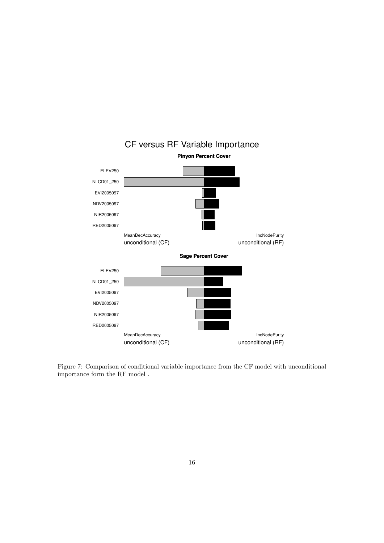

CF versus RF Variable Importance

Figure 7: Comparison of conditional variable importance from the CF model with unconditional importance form the RF model .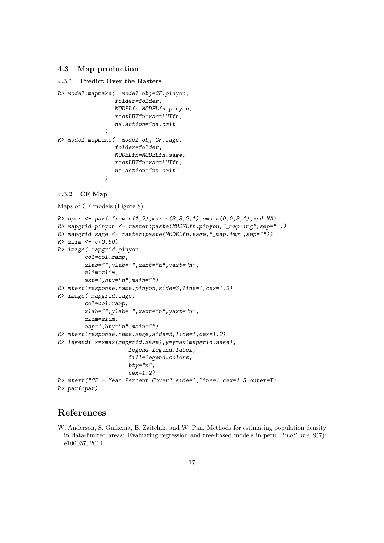## 4.3 Map production

#### 4.3.1 Predict Over the Rasters

```
R> model.mapmake( model.obj=CF.pinyon,
                 folder=folder,
                 MODELfn=MODELfn.pinyon,
                 rastLUTfn=rastLUTfn,
                 na.action="na.omit"
              )
R> model.mapmake( model.obj=CF.sage,
                 folder=folder,
                 MODELfn=MODELfn.sage,
                 rastLUTfn=rastLUTfn,
                 na.action="na.omit"
              )
```
## 4.3.2 CF Map

Maps of CF models (Figure 8).

```
R opar \leq par(mfrow=c(1,2), mar=c(3,3,2,1), oma=c(0,0,3,4), xpd=NA)
R> mapgrid.pinyon <- raster(paste(MODELfn.pinyon,"_map.img",sep=""))
R> mapgrid.sage <- raster(paste(MODELfn.sage,"_map.img",sep=""))
R > zlim < -c(0, 60)R> image( mapgrid.pinyon,
        col=col.ramp,
        xlab="",ylab="",xaxt="n",yaxt="n",
        zlim=zlim,
        asp=1, bty="n", main="")R> mtext(response.name.pinyon,side=3,line=1,cex=1.2)
R> image( mapgrid.sage,
        col=col.ramp,
        xlab="",ylab="",xaxt="n",yaxt="n",
        zlim=zlim,
        asp=1,bty="n",main="")
R> mtext(response.name.sage,side=3,line=1,cex=1.2)
R> legend( x=xmax(mapgrid.sage),y=ymax(mapgrid.sage),
                     legend=legend.label,
                     fill=legend.colors,
                     bty="n",
                     cex=1.2)
R> mtext("CF - Mean Percent Cover",side=3,line=1,cex=1.5,outer=T)
R> par(opar)
```
# References

W. Anderson, S. Guikema, B. Zaitchik, and W. Pan. Methods for estimating population density in data-limited areas: Evaluating regression and tree-based models in peru. PLoS one, 9(7): e100037, 2014.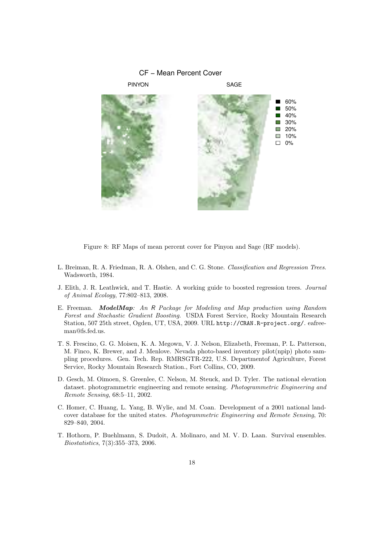

Figure 8: RF Maps of mean percent cover for Pinyon and Sage (RF models).

- L. Breiman, R. A. Friedman, R. A. Olshen, and C. G. Stone. Classification and Regression Trees. Wadsworth, 1984.
- J. Elith, J. R. Leathwick, and T. Hastie. A working guide to boosted regression trees. Journal of Animal Ecology, 77:802–813, 2008.
- E. Freeman. ModelMap: An R Package for Modeling and Map production using Random Forest and Stochastic Gradient Boosting. USDA Forest Service, Rocky Mountain Research Station, 507 25th street, Ogden, UT, USA, 2009. URL http://CRAN.R-project.org/. eafreeman@fs.fed.us.
- T. S. Frescino, G. G. Moisen, K. A. Megown, V. J. Nelson, Elizabeth, Freeman, P. L. Patterson, M. Finco, K. Brewer, and J. Menlove. Nevada photo-based inventory pilot(npip) photo sampling procedures. Gen. Tech. Rep. RMRSGTR-222, U.S. Departmentof Agriculture, Forest Service, Rocky Mountain Research Station., Fort Collins, CO, 2009.
- D. Gesch, M. Oimoen, S. Greenlee, C. Nelson, M. Steuck, and D. Tyler. The national elevation dataset. photogrammetric engineering and remote sensing. Photogrammetric Engineering and Remote Sensing, 68:5–11, 2002.
- C. Homer, C. Huang, L. Yang, B. Wylie, and M. Coan. Development of a 2001 national landcover database for the united states. Photogrammetric Engineering and Remote Sensing, 70: 829–840, 2004.
- T. Hothorn, P. Buehlmann, S. Dudoit, A. Molinaro, and M. V. D. Laan. Survival ensembles. Biostatistics, 7(3):355–373, 2006.